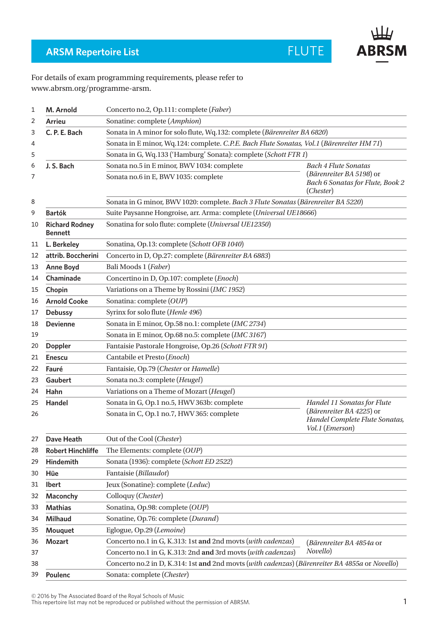

## **ARSM Repertoire List**

## For details of exam programming requirements, please refer to www.abrsm.org/programme-arsm.

| 1      | M. Arnold                               | Concerto no.2, Op.111: complete (Faber)                                                        |                                                                                                                   |  |
|--------|-----------------------------------------|------------------------------------------------------------------------------------------------|-------------------------------------------------------------------------------------------------------------------|--|
| 2      | <b>Arrieu</b>                           | Sonatine: complete (Amphion)                                                                   |                                                                                                                   |  |
| 3      | C. P. E. Bach                           | Sonata in A minor for solo flute, Wq.132: complete (Bärenreiter BA 6820)                       |                                                                                                                   |  |
| 4      |                                         | Sonata in E minor, Wq.124: complete. C.P.E. Bach Flute Sonatas, Vol.1 (Bärenreiter HM 71)      |                                                                                                                   |  |
| 5      |                                         | Sonata in G, Wq.133 ('Hamburg' Sonata): complete (Schott FTR 1)                                |                                                                                                                   |  |
| 6<br>7 | J. S. Bach                              | Sonata no.5 in E minor, BWV 1034: complete<br>Sonata no.6 in E, BWV 1035: complete             | <b>Bach 4 Flute Sonatas</b><br>(Bärenreiter BA 5198) or<br>Bach 6 Sonatas for Flute, Book 2<br>( <i>Chester</i> ) |  |
| 8      |                                         | Sonata in G minor, BWV 1020: complete. Bach 3 Flute Sonatas (Bärenreiter BA 5220)              |                                                                                                                   |  |
| 9      | <b>Bartók</b>                           | Suite Paysanne Hongroise, arr. Arma: complete (Universal UE18666)                              |                                                                                                                   |  |
| 10     | <b>Richard Rodney</b><br><b>Bennett</b> | Sonatina for solo flute: complete (Universal UE12350)                                          |                                                                                                                   |  |
| 11     | L. Berkeley                             | Sonatina, Op.13: complete (Schott OFB 1040)                                                    |                                                                                                                   |  |
| 12     | attrib. Boccherini                      | Concerto in D, Op.27: complete (Bärenreiter BA 6883)                                           |                                                                                                                   |  |
| 13     | <b>Anne Boyd</b>                        | Bali Moods 1 (Faber)                                                                           |                                                                                                                   |  |
| 14     | Chaminade                               | Concertino in D, Op.107: complete (Enoch)                                                      |                                                                                                                   |  |
| 15     | Chopin                                  | Variations on a Theme by Rossini (IMC 1952)                                                    |                                                                                                                   |  |
| 16     | <b>Arnold Cooke</b>                     | Sonatina: complete (OUP)                                                                       |                                                                                                                   |  |
| 17     | <b>Debussy</b>                          | Syrinx for solo flute (Henle 496)                                                              |                                                                                                                   |  |
| 18     | <b>Devienne</b>                         | Sonata in E minor, Op.58 no.1: complete (IMC 2734)                                             |                                                                                                                   |  |
| 19     |                                         | Sonata in E minor, Op.68 no.5: complete (IMC 3167)                                             |                                                                                                                   |  |
| 20     | <b>Doppler</b>                          | Fantaisie Pastorale Hongroise, Op.26 (Schott FTR 91)                                           |                                                                                                                   |  |
| 21     | <b>Enescu</b>                           | Cantabile et Presto (Enoch)                                                                    |                                                                                                                   |  |
| 22     | Fauré                                   | Fantaisie, Op.79 (Chester or Hamelle)                                                          |                                                                                                                   |  |
| 23     | Gaubert                                 | Sonata no.3: complete (Heugel)                                                                 |                                                                                                                   |  |
| 24     | Hahn                                    | Variations on a Theme of Mozart (Heugel)                                                       |                                                                                                                   |  |
| 25     | Handel                                  | Sonata in G, Op.1 no.5, HWV 363b: complete                                                     | Handel 11 Sonatas for Flute<br>(Bärenreiter BA 4225) or<br>Handel Complete Flute Sonatas,<br>Vol.1 (Emerson)      |  |
| 26     |                                         | Sonata in C, Op.1 no.7, HWV 365: complete                                                      |                                                                                                                   |  |
| 27     | <b>Dave Heath</b>                       | Out of the Cool (Chester)                                                                      |                                                                                                                   |  |
| 28     | <b>Robert Hinchliffe</b>                | The Elements: complete (OUP)                                                                   |                                                                                                                   |  |
| 29     | <b>Hindemith</b>                        | Sonata (1936): complete (Schott ED 2522)                                                       |                                                                                                                   |  |
| 30     | Hüe                                     | Fantaisie (Billaudot)                                                                          |                                                                                                                   |  |
| 31     | <b>Ibert</b>                            | Jeux (Sonatine): complete (Leduc)                                                              |                                                                                                                   |  |
| 32     | Maconchy                                | Colloquy (Chester)                                                                             |                                                                                                                   |  |
| 33     | <b>Mathias</b>                          | Sonatina, Op.98: complete (OUP)                                                                |                                                                                                                   |  |
| 34     | <b>Milhaud</b>                          | Sonatine, Op.76: complete (Durand)                                                             |                                                                                                                   |  |
| 35     | Mouquet                                 | Eglogue, Op.29 (Lemoine)                                                                       |                                                                                                                   |  |
| 36     | <b>Mozart</b>                           | Concerto no.1 in G, K.313: 1st and 2nd movts (with cadenzas)                                   | (Bärenreiter BA 4854a or<br>Novello)                                                                              |  |
| 37     |                                         | Concerto no.1 in G, K.313: 2nd and 3rd movts (with cadenzas)                                   |                                                                                                                   |  |
| 38     |                                         | Concerto no.2 in D, K.314: 1st and 2nd movts (with cadenzas) (Bärenreiter BA 4855a or Novello) |                                                                                                                   |  |
| 39     | Poulenc                                 | Sonata: complete (Chester)                                                                     |                                                                                                                   |  |

© 2016 by The Associated Board of the Royal Schools of Music

This repertoire list may not be reproduced or published without the permission of ABRSM.